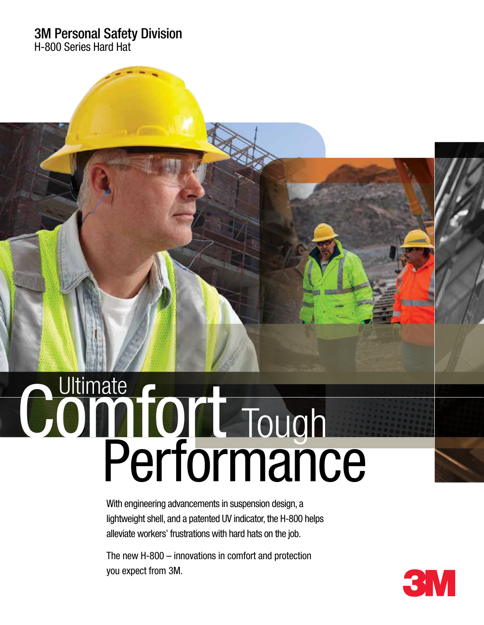#### 3M Personal Safety Division

H-800 Series Hard Hat

# Performance Comfort Tough

With engineering advancements in suspension design, a lightweight shell, and a patented UV indicator, the H-800 helps alleviate workers' frustrations with hard hats on the job.

The new H-800 – innovations in comfort and protection you expect from 3M.

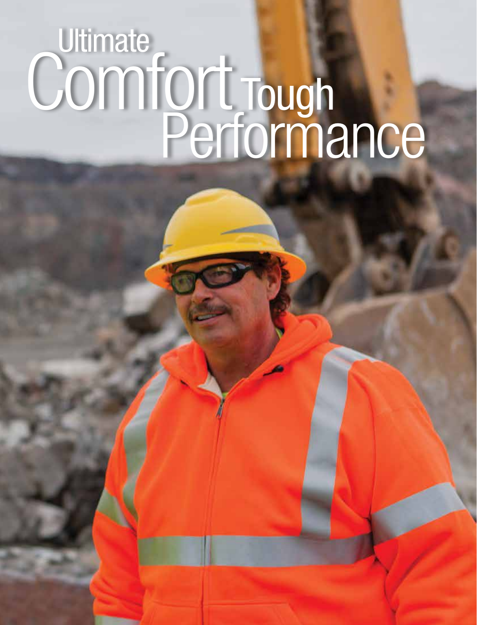## **Ultimate** Comfort Tough Performance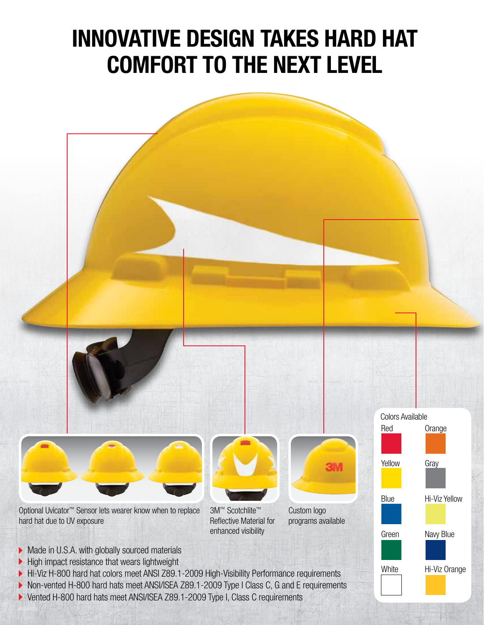### Innovative DESIGN TAKES HARD HAT COMFORT TO THE NEXT LEVEL



Vented H-800 hard hats meet ANSI/ISEA Z89.1-2009 Type I, Class C requirements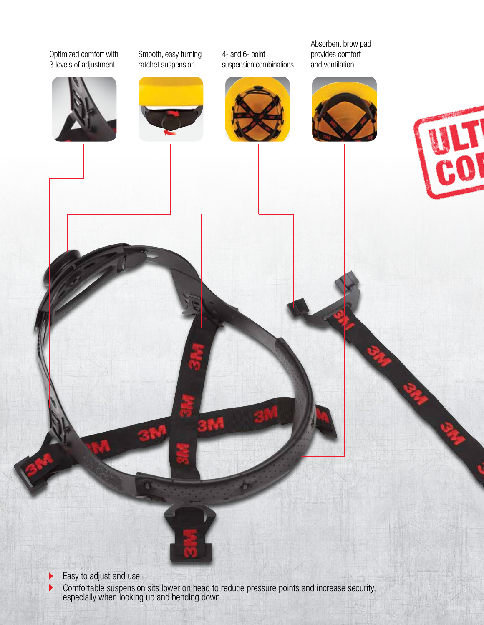#### Optimized comfort with 3 levels of adjustment



Smooth, easy turning ratchet suspension

4- and 6- point suspension combinations



Absorbent brow pad provides comfort and ventilation







Easy to adjust and use  $\blacktriangleright$ 

 $\blacktriangleright$ 

Comfortable suspension sits lower on head to reduce pressure points and increase security, especially when looking up and bending down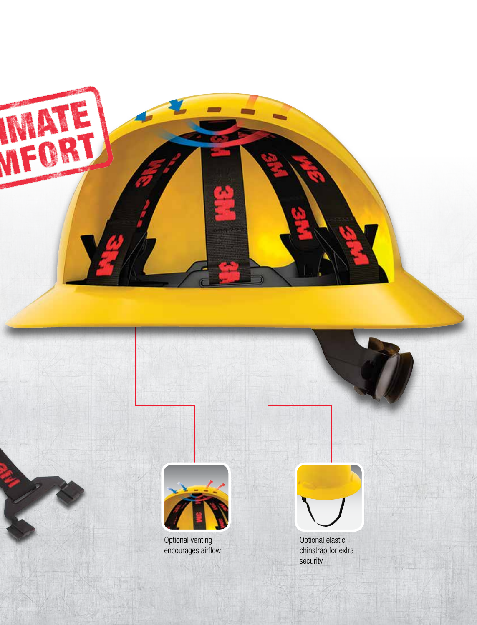